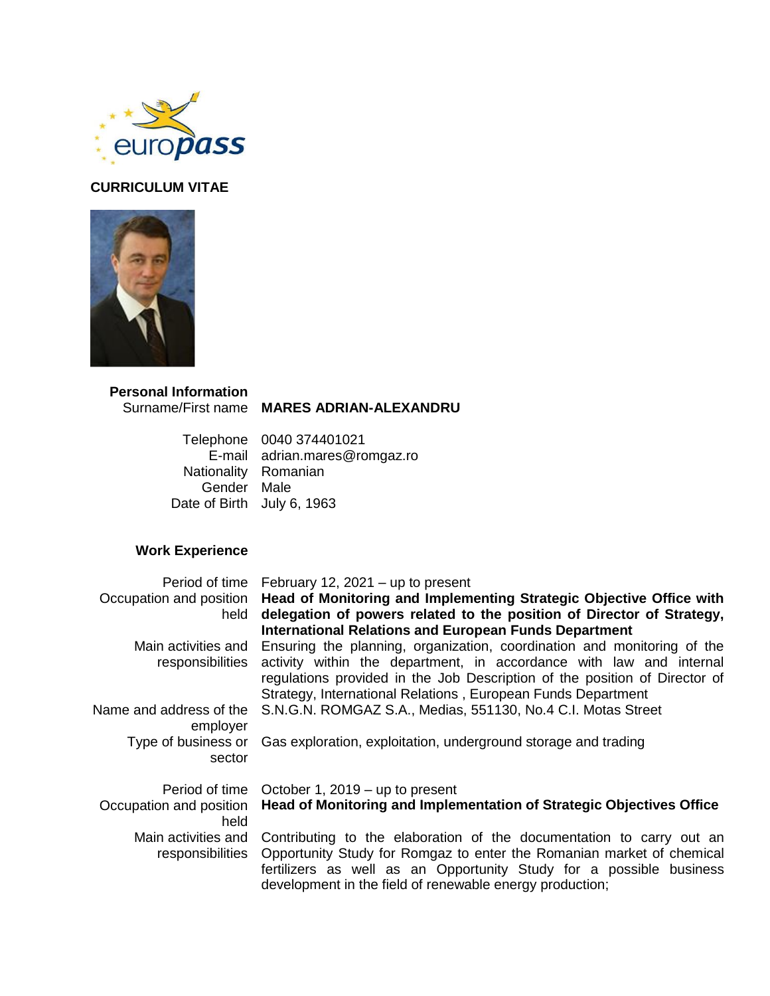

## **CURRICULUM VITAE**



# **Personal Information**

#### Surname/First name **MARES ADRIAN-ALEXANDRU**

Telephone 0040 374401021 E-mail adrian.mares@romgaz.ro Nationality Romanian Gender Male Date of Birth July 6, 1963

## **Work Experience**

|                                         | Period of time February 12, 2021 $-$ up to present                                                                                                                                                                                                                                           |
|-----------------------------------------|----------------------------------------------------------------------------------------------------------------------------------------------------------------------------------------------------------------------------------------------------------------------------------------------|
| Occupation and position<br>held         | Head of Monitoring and Implementing Strategic Objective Office with<br>delegation of powers related to the position of Director of Strategy,<br><b>International Relations and European Funds Department</b>                                                                                 |
| Main activities and<br>responsibilities | Ensuring the planning, organization, coordination and monitoring of the<br>activity within the department, in accordance with law and internal<br>regulations provided in the Job Description of the position of Director of<br>Strategy, International Relations, European Funds Department |
| Name and address of the<br>employer     | S.N.G.N. ROMGAZ S.A., Medias, 551130, No.4 C.I. Motas Street                                                                                                                                                                                                                                 |
| Type of business or<br>sector           | Gas exploration, exploitation, underground storage and trading                                                                                                                                                                                                                               |
| Period of time                          | October 1, 2019 – up to present                                                                                                                                                                                                                                                              |
| Occupation and position<br>held         | Head of Monitoring and Implementation of Strategic Objectives Office                                                                                                                                                                                                                         |
| Main activities and<br>responsibilities | Contributing to the elaboration of the documentation to carry out an<br>Opportunity Study for Romgaz to enter the Romanian market of chemical<br>fertilizers as well as an Opportunity Study for a possible business<br>development in the field of renewable energy production;             |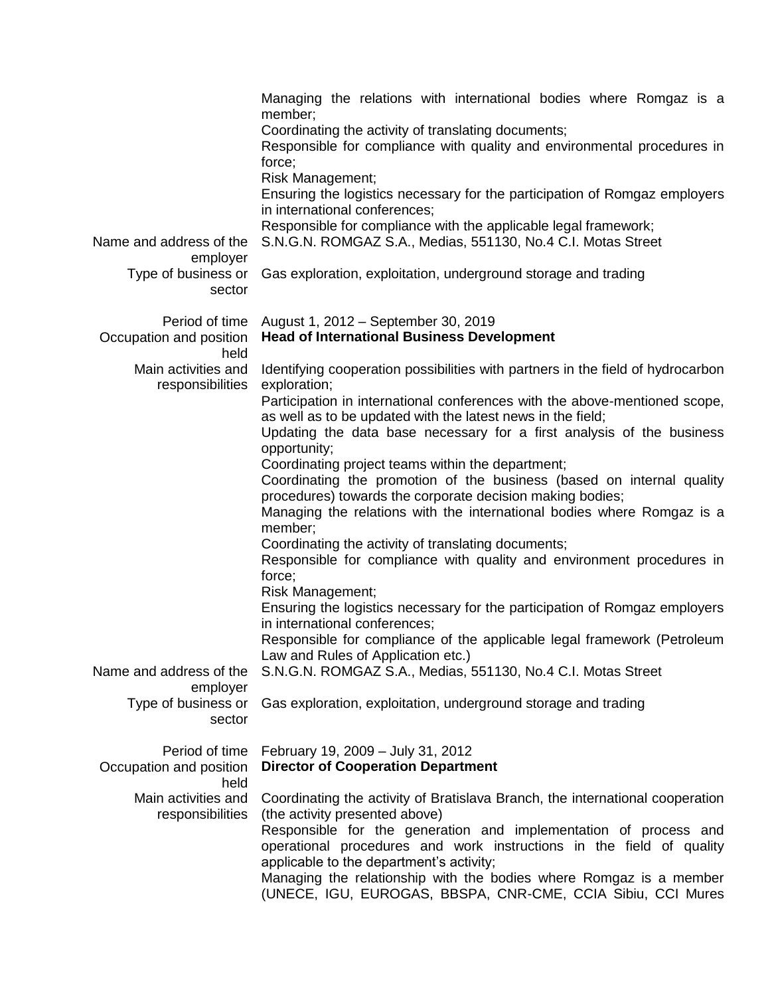| Name and address of the<br>employer<br>Type of business or<br>sector | Managing the relations with international bodies where Romgaz is a<br>member;<br>Coordinating the activity of translating documents;<br>Responsible for compliance with quality and environmental procedures in<br>force;<br>Risk Management;<br>Ensuring the logistics necessary for the participation of Romgaz employers<br>in international conferences;<br>Responsible for compliance with the applicable legal framework;<br>S.N.G.N. ROMGAZ S.A., Medias, 551130, No.4 C.I. Motas Street<br>Gas exploration, exploitation, underground storage and trading                                                                                                                                                                                                                                                                                                                                                                                                                                                   |
|----------------------------------------------------------------------|---------------------------------------------------------------------------------------------------------------------------------------------------------------------------------------------------------------------------------------------------------------------------------------------------------------------------------------------------------------------------------------------------------------------------------------------------------------------------------------------------------------------------------------------------------------------------------------------------------------------------------------------------------------------------------------------------------------------------------------------------------------------------------------------------------------------------------------------------------------------------------------------------------------------------------------------------------------------------------------------------------------------|
| Period of time<br>Occupation and position<br>held                    | August 1, 2012 - September 30, 2019<br><b>Head of International Business Development</b>                                                                                                                                                                                                                                                                                                                                                                                                                                                                                                                                                                                                                                                                                                                                                                                                                                                                                                                            |
| Main activities and<br>responsibilities                              | Identifying cooperation possibilities with partners in the field of hydrocarbon<br>exploration;<br>Participation in international conferences with the above-mentioned scope,<br>as well as to be updated with the latest news in the field;<br>Updating the data base necessary for a first analysis of the business<br>opportunity;<br>Coordinating project teams within the department;<br>Coordinating the promotion of the business (based on internal quality<br>procedures) towards the corporate decision making bodies;<br>Managing the relations with the international bodies where Romgaz is a<br>member;<br>Coordinating the activity of translating documents;<br>Responsible for compliance with quality and environment procedures in<br>force;<br>Risk Management;<br>Ensuring the logistics necessary for the participation of Romgaz employers<br>in international conferences;<br>Responsible for compliance of the applicable legal framework (Petroleum<br>Law and Rules of Application etc.) |
| Name and address of the<br>employer<br>Type of business or<br>sector | S.N.G.N. ROMGAZ S.A., Medias, 551130, No.4 C.I. Motas Street<br>Gas exploration, exploitation, underground storage and trading                                                                                                                                                                                                                                                                                                                                                                                                                                                                                                                                                                                                                                                                                                                                                                                                                                                                                      |
| Period of time<br>Occupation and position<br>held                    | February 19, 2009 - July 31, 2012<br><b>Director of Cooperation Department</b>                                                                                                                                                                                                                                                                                                                                                                                                                                                                                                                                                                                                                                                                                                                                                                                                                                                                                                                                      |
| Main activities and<br>responsibilities                              | Coordinating the activity of Bratislava Branch, the international cooperation<br>(the activity presented above)<br>Responsible for the generation and implementation of process and<br>operational procedures and work instructions in the field of quality<br>applicable to the department's activity;<br>Managing the relationship with the bodies where Romgaz is a member<br>(UNECE, IGU, EUROGAS, BBSPA, CNR-CME, CCIA Sibiu, CCI Mures                                                                                                                                                                                                                                                                                                                                                                                                                                                                                                                                                                        |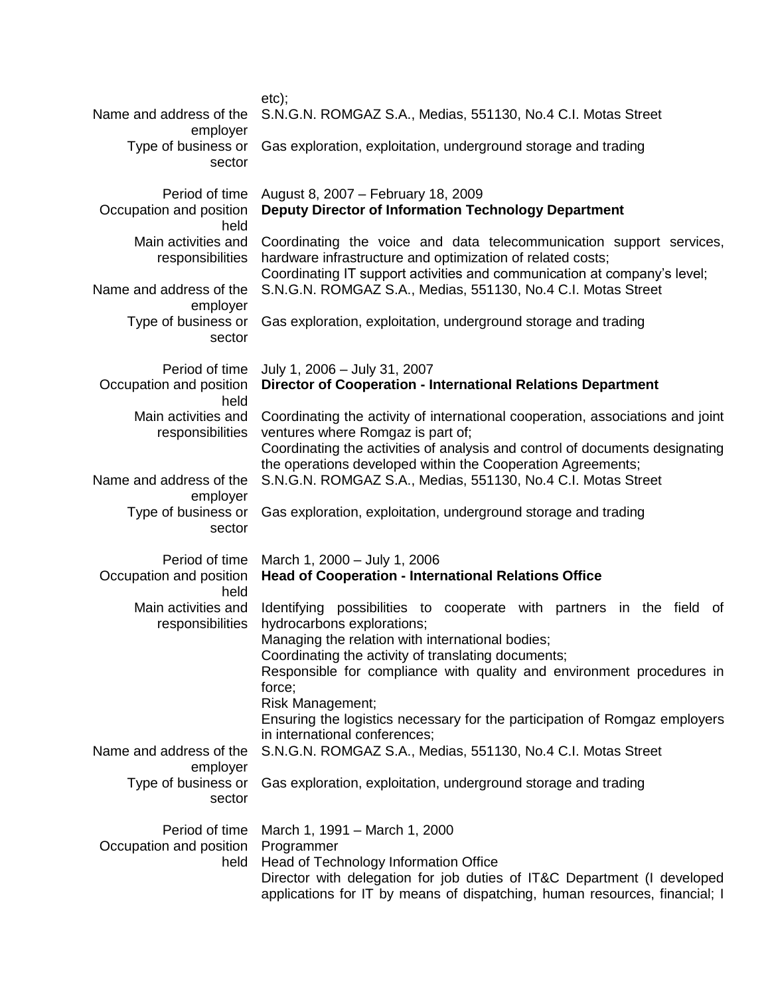| Name and address of the                                                                                                                                                                                                                                                                            | $etc$ );<br>S.N.G.N. ROMGAZ S.A., Medias, 551130, No.4 C.I. Motas Street                                                                                                                                                                                                                                                                                                                                                               |  |  |  |
|----------------------------------------------------------------------------------------------------------------------------------------------------------------------------------------------------------------------------------------------------------------------------------------------------|----------------------------------------------------------------------------------------------------------------------------------------------------------------------------------------------------------------------------------------------------------------------------------------------------------------------------------------------------------------------------------------------------------------------------------------|--|--|--|
| employer<br>Type of business or<br>sector                                                                                                                                                                                                                                                          | Gas exploration, exploitation, underground storage and trading                                                                                                                                                                                                                                                                                                                                                                         |  |  |  |
| Period of time<br>Occupation and position<br>held                                                                                                                                                                                                                                                  | August 8, 2007 - February 18, 2009<br>Deputy Director of Information Technology Department                                                                                                                                                                                                                                                                                                                                             |  |  |  |
| Main activities and<br>responsibilities<br>Name and address of the                                                                                                                                                                                                                                 | Coordinating the voice and data telecommunication support services,<br>hardware infrastructure and optimization of related costs;<br>Coordinating IT support activities and communication at company's level;<br>S.N.G.N. ROMGAZ S.A., Medias, 551130, No.4 C.I. Motas Street                                                                                                                                                          |  |  |  |
| employer<br>Type of business or<br>sector                                                                                                                                                                                                                                                          | Gas exploration, exploitation, underground storage and trading                                                                                                                                                                                                                                                                                                                                                                         |  |  |  |
| Period of time<br>Occupation and position<br>held                                                                                                                                                                                                                                                  | July 1, 2006 - July 31, 2007<br><b>Director of Cooperation - International Relations Department</b>                                                                                                                                                                                                                                                                                                                                    |  |  |  |
| Main activities and<br>responsibilities                                                                                                                                                                                                                                                            | Coordinating the activity of international cooperation, associations and joint<br>ventures where Romgaz is part of;<br>Coordinating the activities of analysis and control of documents designating                                                                                                                                                                                                                                    |  |  |  |
| Name and address of the<br>employer                                                                                                                                                                                                                                                                | the operations developed within the Cooperation Agreements;<br>S.N.G.N. ROMGAZ S.A., Medias, 551130, No.4 C.I. Motas Street                                                                                                                                                                                                                                                                                                            |  |  |  |
| Type of business or<br>sector                                                                                                                                                                                                                                                                      | Gas exploration, exploitation, underground storage and trading                                                                                                                                                                                                                                                                                                                                                                         |  |  |  |
| Period of time<br>Occupation and position<br>held                                                                                                                                                                                                                                                  | March 1, 2000 - July 1, 2006<br><b>Head of Cooperation - International Relations Office</b>                                                                                                                                                                                                                                                                                                                                            |  |  |  |
| Main activities and<br>responsibilities                                                                                                                                                                                                                                                            | Identifying possibilities to cooperate with partners in the field<br>of<br>hydrocarbons explorations;<br>Managing the relation with international bodies;<br>Coordinating the activity of translating documents;<br>Responsible for compliance with quality and environment procedures in<br>force;<br>Risk Management;<br>Ensuring the logistics necessary for the participation of Romgaz employers<br>in international conferences; |  |  |  |
| Name and address of the<br>employer                                                                                                                                                                                                                                                                | S.N.G.N. ROMGAZ S.A., Medias, 551130, No.4 C.I. Motas Street                                                                                                                                                                                                                                                                                                                                                                           |  |  |  |
| Type of business or<br>sector                                                                                                                                                                                                                                                                      | Gas exploration, exploitation, underground storage and trading                                                                                                                                                                                                                                                                                                                                                                         |  |  |  |
| Period of time<br>March 1, 1991 - March 1, 2000<br>Occupation and position<br>Programmer<br>Head of Technology Information Office<br>held<br>Director with delegation for job duties of IT&C Department (I developed<br>applications for IT by means of dispatching, human resources, financial; I |                                                                                                                                                                                                                                                                                                                                                                                                                                        |  |  |  |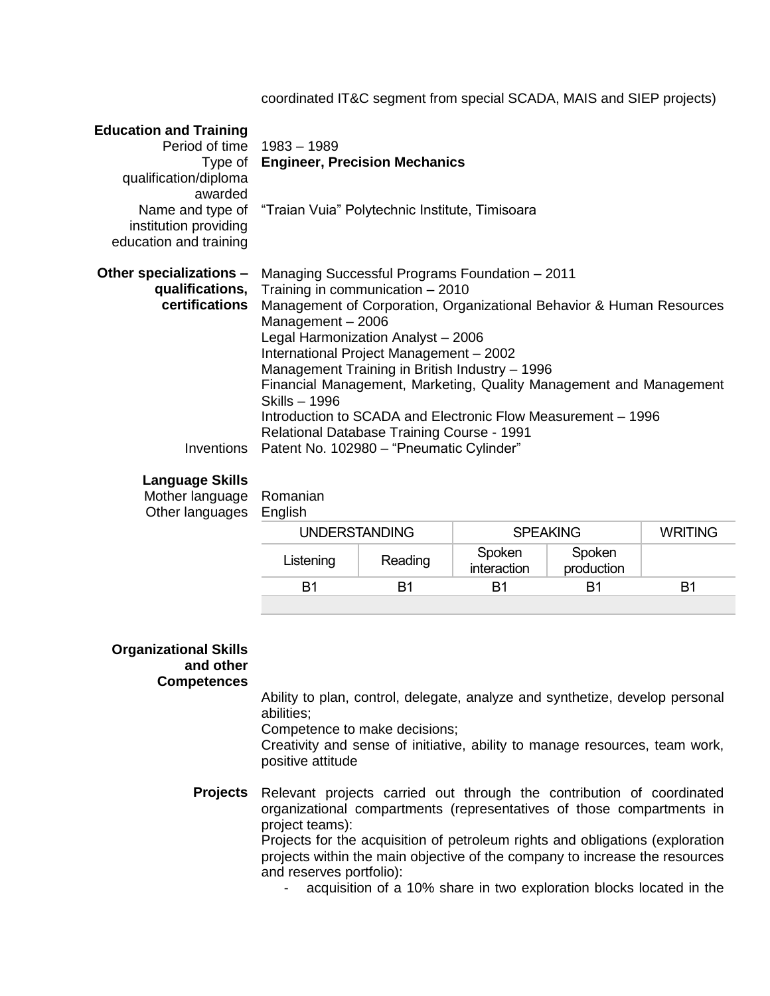coordinated IT&C segment from special SCADA, MAIS and SIEP projects)

| <b>Education and Training</b><br>Period of time 1983 - 1989<br>qualification/diploma<br>awarded<br>institution providing<br>education and training | Type of Engineer, Precision Mechanics<br>Name and type of "Traian Vuia" Polytechnic Institute, Timisoara                                                                                                                                                                                                                                                                                                                                                                                                                                                                                                |
|----------------------------------------------------------------------------------------------------------------------------------------------------|---------------------------------------------------------------------------------------------------------------------------------------------------------------------------------------------------------------------------------------------------------------------------------------------------------------------------------------------------------------------------------------------------------------------------------------------------------------------------------------------------------------------------------------------------------------------------------------------------------|
| Other specializations –<br>certifications                                                                                                          | Managing Successful Programs Foundation - 2011<br>qualifications, Training in communication $-2010$<br>Management of Corporation, Organizational Behavior & Human Resources<br>Management $-2006$<br>Legal Harmonization Analyst - 2006<br>International Project Management - 2002<br>Management Training in British Industry - 1996<br>Financial Management, Marketing, Quality Management and Management<br>Skills - 1996<br>Introduction to SCADA and Electronic Flow Measurement – 1996<br><b>Relational Database Training Course - 1991</b><br>Inventions Patent No. 102980 - "Pneumatic Cylinder" |

### **Language Skills**

Mother language Romanian Other languages English

| —                    |         |                       |                      |                |
|----------------------|---------|-----------------------|----------------------|----------------|
| <b>UNDERSTANDING</b> |         | <b>SPEAKING</b>       |                      | <b>WRITING</b> |
| Listening            | Reading | Spoken<br>interaction | Spoken<br>production |                |
| B1                   | R1      | B1                    | R1                   | B1             |
|                      |         |                       |                      |                |

#### **Organizational Skills and other Competences**

Ability to plan, control, delegate, analyze and synthetize, develop personal abilities;

Competence to make decisions;

Creativity and sense of initiative, ability to manage resources, team work, positive attitude

**Projects** Relevant projects carried out through the contribution of coordinated organizational compartments (representatives of those compartments in project teams): Projects for the acquisition of petroleum rights and obligations (exploration

projects within the main objective of the company to increase the resources and reserves portfolio):

- acquisition of a 10% share in two exploration blocks located in the